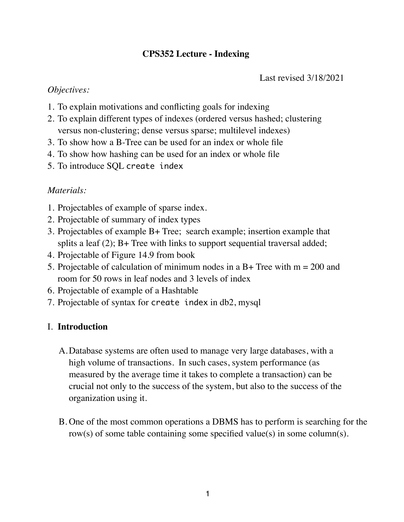# **CPS352 Lecture - Indexing**

Last revised 3/18/2021

## *Objectives:*

- 1. To explain motivations and conflicting goals for indexing
- 2. To explain different types of indexes (ordered versus hashed; clustering versus non-clustering; dense versus sparse; multilevel indexes)
- 3. To show how a B-Tree can be used for an index or whole file
- 4. To show how hashing can be used for an index or whole file
- 5. To introduce SQL create index

# *Materials:*

- 1. Projectables of example of sparse index.
- 2. Projectable of summary of index types
- 3. Projectables of example B+ Tree; search example; insertion example that splits a leaf (2); B+ Tree with links to support sequential traversal added;
- 4. Projectable of Figure 14.9 from book
- 5. Projectable of calculation of minimum nodes in a B+ Tree with  $m = 200$  and room for 50 rows in leaf nodes and 3 levels of index
- 6. Projectable of example of a Hashtable
- 7. Projectable of syntax for create index in db2, mysql

# I. **Introduction**

- A.Database systems are often used to manage very large databases, with a high volume of transactions. In such cases, system performance (as measured by the average time it takes to complete a transaction) can be crucial not only to the success of the system, but also to the success of the organization using it.
- B. One of the most common operations a DBMS has to perform is searching for the row(s) of some table containing some specified value(s) in some column(s).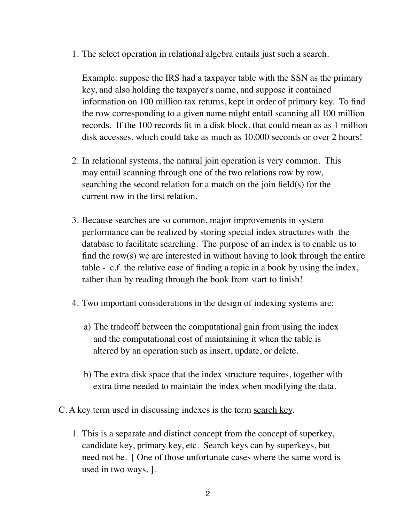1. The select operation in relational algebra entails just such a search.

Example: suppose the IRS had a taxpayer table with the SSN as the primary key, and also holding the taxpayer's name, and suppose it contained information on 100 million tax returns, kept in order of primary key. To find the row corresponding to a given name might entail scanning all 100 million records. If the 100 records fit in a disk block, that could mean as as 1 million disk accesses, which could take as much as 10,000 seconds or over 2 hours!

- 2. In relational systems, the natural join operation is very common. This may entail scanning through one of the two relations row by row, searching the second relation for a match on the join field(s) for the current row in the first relation.
- 3. Because searches are so common, major improvements in system performance can be realized by storing special index structures with the database to facilitate searching. The purpose of an index is to enable us to find the row(s) we are interested in without having to look through the entire table - c.f. the relative ease of finding a topic in a book by using the index, rather than by reading through the book from start to finish!
- 4. Two important considerations in the design of indexing systems are:
	- a) The tradeoff between the computational gain from using the index and the computational cost of maintaining it when the table is altered by an operation such as insert, update, or delete.
	- b) The extra disk space that the index structure requires, together with extra time needed to maintain the index when modifying the data.
- C. A key term used in discussing indexes is the term search key.
	- 1. This is a separate and distinct concept from the concept of superkey, candidate key, primary key, etc. Search keys can by superkeys, but need not be. [ One of those unfortunate cases where the same word is used in two ways. ].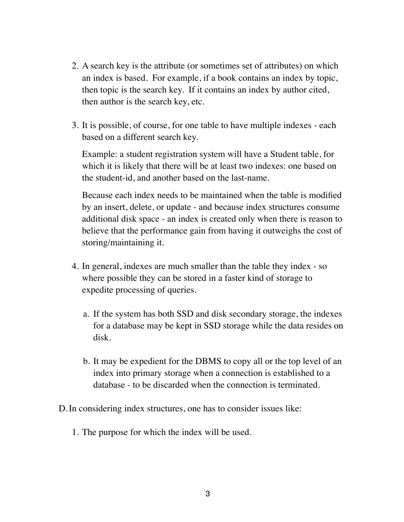- 2. A search key is the attribute (or sometimes set of attributes) on which an index is based. For example, if a book contains an index by topic, then topic is the search key. If it contains an index by author cited, then author is the search key, etc.
- 3. It is possible, of course, for one table to have multiple indexes each based on a different search key.

Example: a student registration system will have a Student table, for which it is likely that there will be at least two indexes: one based on the student-id, and another based on the last-name.

Because each index needs to be maintained when the table is modified by an insert, delete, or update - and because index structures consume additional disk space - an index is created only when there is reason to believe that the performance gain from having it outweighs the cost of storing/maintaining it.

- 4. In general, indexes are much smaller than the table they index so where possible they can be stored in a faster kind of storage to expedite processing of queries.
	- a. If the system has both SSD and disk secondary storage, the indexes for a database may be kept in SSD storage while the data resides on disk.
	- b. It may be expedient for the DBMS to copy all or the top level of an index into primary storage when a connection is established to a database - to be discarded when the connection is terminated.

D.In considering index structures, one has to consider issues like:

1. The purpose for which the index will be used.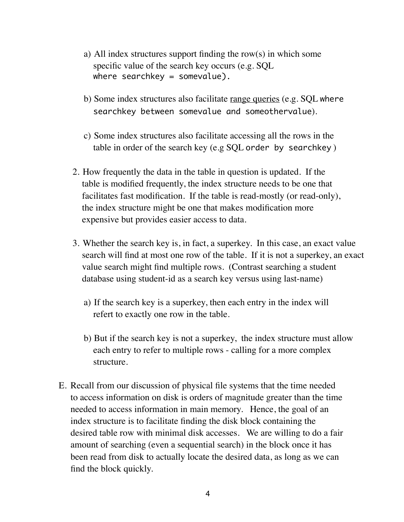- a) All index structures support finding the row(s) in which some specific value of the search key occurs (e.g. SQL where searchkey = somevalue).
- b) Some index structures also facilitate range queries (e.g. SQL where searchkey between somevalue and someothervalue).
- c) Some index structures also facilitate accessing all the rows in the table in order of the search key (e.g SQL order by searchkey )
- 2. How frequently the data in the table in question is updated. If the table is modified frequently, the index structure needs to be one that facilitates fast modification. If the table is read-mostly (or read-only), the index structure might be one that makes modification more expensive but provides easier access to data.
- 3. Whether the search key is, in fact, a superkey. In this case, an exact value search will find at most one row of the table. If it is not a superkey, an exact value search might find multiple rows. (Contrast searching a student database using student-id as a search key versus using last-name)
	- a) If the search key is a superkey, then each entry in the index will refert to exactly one row in the table.
	- b) But if the search key is not a superkey, the index structure must allow each entry to refer to multiple rows - calling for a more complex structure.
- E. Recall from our discussion of physical file systems that the time needed to access information on disk is orders of magnitude greater than the time needed to access information in main memory. Hence, the goal of an index structure is to facilitate finding the disk block containing the desired table row with minimal disk accesses. We are willing to do a fair amount of searching (even a sequential search) in the block once it has been read from disk to actually locate the desired data, as long as we can find the block quickly.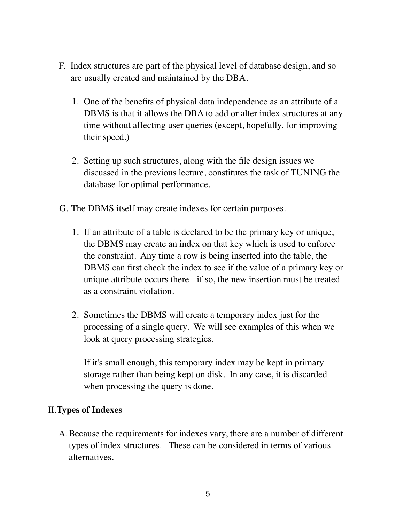- F. Index structures are part of the physical level of database design, and so are usually created and maintained by the DBA.
	- 1. One of the benefits of physical data independence as an attribute of a DBMS is that it allows the DBA to add or alter index structures at any time without affecting user queries (except, hopefully, for improving their speed.)
	- 2. Setting up such structures, along with the file design issues we discussed in the previous lecture, constitutes the task of TUNING the database for optimal performance.
- G. The DBMS itself may create indexes for certain purposes.
	- 1. If an attribute of a table is declared to be the primary key or unique, the DBMS may create an index on that key which is used to enforce the constraint. Any time a row is being inserted into the table, the DBMS can first check the index to see if the value of a primary key or unique attribute occurs there - if so, the new insertion must be treated as a constraint violation.
	- 2. Sometimes the DBMS will create a temporary index just for the processing of a single query. We will see examples of this when we look at query processing strategies.

If it's small enough, this temporary index may be kept in primary storage rather than being kept on disk. In any case, it is discarded when processing the query is done.

# II.**Types of Indexes**

A.Because the requirements for indexes vary, there are a number of different types of index structures. These can be considered in terms of various alternatives.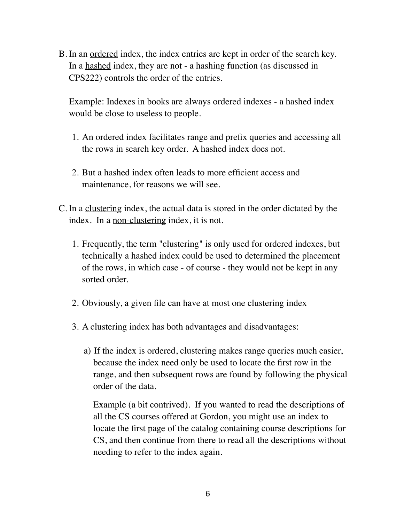B. In an ordered index, the index entries are kept in order of the search key. In a hashed index, they are not - a hashing function (as discussed in CPS222) controls the order of the entries.

Example: Indexes in books are always ordered indexes - a hashed index would be close to useless to people.

- 1. An ordered index facilitates range and prefix queries and accessing all the rows in search key order. A hashed index does not.
- 2. But a hashed index often leads to more efficient access and maintenance, for reasons we will see.
- C. In a clustering index, the actual data is stored in the order dictated by the index. In a non-clustering index, it is not.
	- 1. Frequently, the term "clustering" is only used for ordered indexes, but technically a hashed index could be used to determined the placement of the rows, in which case - of course - they would not be kept in any sorted order.
	- 2. Obviously, a given file can have at most one clustering index
	- 3. A clustering index has both advantages and disadvantages:
		- a) If the index is ordered, clustering makes range queries much easier, because the index need only be used to locate the first row in the range, and then subsequent rows are found by following the physical order of the data.

Example (a bit contrived). If you wanted to read the descriptions of all the CS courses offered at Gordon, you might use an index to locate the first page of the catalog containing course descriptions for CS, and then continue from there to read all the descriptions without needing to refer to the index again.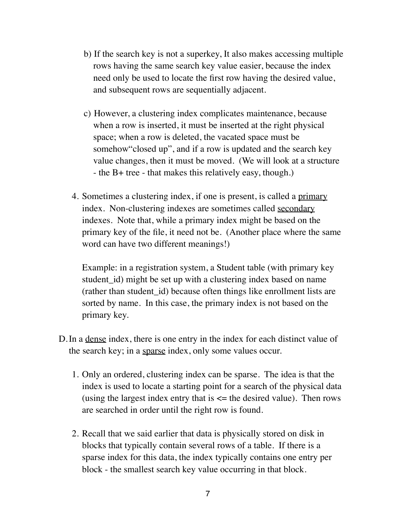- b) If the search key is not a superkey, It also makes accessing multiple rows having the same search key value easier, because the index need only be used to locate the first row having the desired value, and subsequent rows are sequentially adjacent.
- c) However, a clustering index complicates maintenance, because when a row is inserted, it must be inserted at the right physical space; when a row is deleted, the vacated space must be somehow"closed up", and if a row is updated and the search key value changes, then it must be moved. (We will look at a structure - the B+ tree - that makes this relatively easy, though.)
- 4. Sometimes a clustering index, if one is present, is called a primary index. Non-clustering indexes are sometimes called secondary indexes. Note that, while a primary index might be based on the primary key of the file, it need not be. (Another place where the same word can have two different meanings!)

Example: in a registration system, a Student table (with primary key student id) might be set up with a clustering index based on name (rather than student id) because often things like enrollment lists are sorted by name. In this case, the primary index is not based on the primary key.

- D.In a dense index, there is one entry in the index for each distinct value of the search key; in a sparse index, only some values occur.
	- 1. Only an ordered, clustering index can be sparse. The idea is that the index is used to locate a starting point for a search of the physical data (using the largest index entry that is  $\leq$  the desired value). Then rows are searched in order until the right row is found.
	- 2. Recall that we said earlier that data is physically stored on disk in blocks that typically contain several rows of a table. If there is a sparse index for this data, the index typically contains one entry per block - the smallest search key value occurring in that block.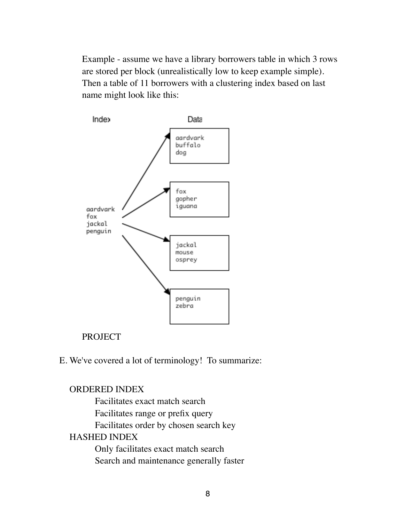Example - assume we have a library borrowers table in which 3 rows are stored per block (unrealistically low to keep example simple). Then a table of 11 borrowers with a clustering index based on last name might look like this:



# PROJECT

# E. We've covered a lot of terminology! To summarize:

## ORDERED INDEX

Facilitates exact match search Facilitates range or prefix query Facilitates order by chosen search key HASHED INDEX Only facilitates exact match search Search and maintenance generally faster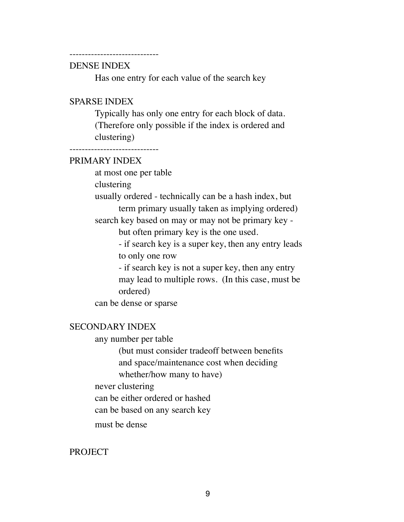#### -----------------------------

### DENSE INDEX

Has one entry for each value of the search key

#### SPARSE INDEX

Typically has only one entry for each block of data. (Therefore only possible if the index is ordered and clustering)

 $-$ 

## PRIMARY INDEX

at most one per table clustering usually ordered - technically can be a hash index, but term primary usually taken as implying ordered) search key based on may or may not be primary key but often primary key is the one used. - if search key is a super key, then any entry leads to only one row - if search key is not a super key, then any entry may lead to multiple rows. (In this case, must be ordered) can be dense or sparse

# SECONDARY INDEX

any number per table

(but must consider tradeoff between benefits and space/maintenance cost when deciding whether/how many to have)

never clustering

can be either ordered or hashed

can be based on any search key

must be dense

#### PROJECT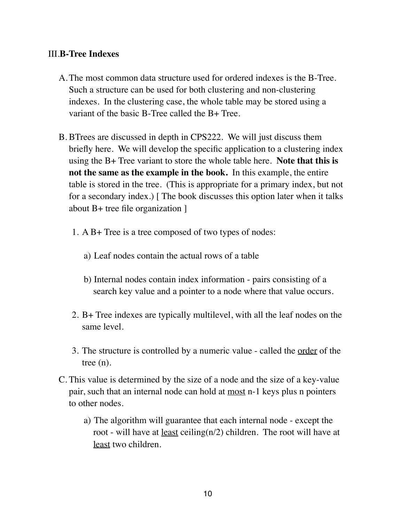# III.**B-Tree Indexes**

- A.The most common data structure used for ordered indexes is the B-Tree. Such a structure can be used for both clustering and non-clustering indexes. In the clustering case, the whole table may be stored using a variant of the basic B-Tree called the B+ Tree.
- B. BTrees are discussed in depth in CPS222. We will just discuss them briefly here. We will develop the specific application to a clustering index using the B+ Tree variant to store the whole table here. **Note that this is not the same as the example in the book.** In this example, the entire table is stored in the tree. (This is appropriate for a primary index, but not for a secondary index.) [ The book discusses this option later when it talks about B+ tree file organization ]
	- 1. A B+ Tree is a tree composed of two types of nodes:
		- a) Leaf nodes contain the actual rows of a table
		- b) Internal nodes contain index information pairs consisting of a search key value and a pointer to a node where that value occurs.
	- 2. B+ Tree indexes are typically multilevel, with all the leaf nodes on the same level.
	- 3. The structure is controlled by a numeric value called the order of the tree (n).
- C. This value is determined by the size of a node and the size of a key-value pair, such that an internal node can hold at most n-1 keys plus n pointers to other nodes.
	- a) The algorithm will guarantee that each internal node except the root - will have at <u>least</u> ceiling( $n/2$ ) children. The root will have at least two children.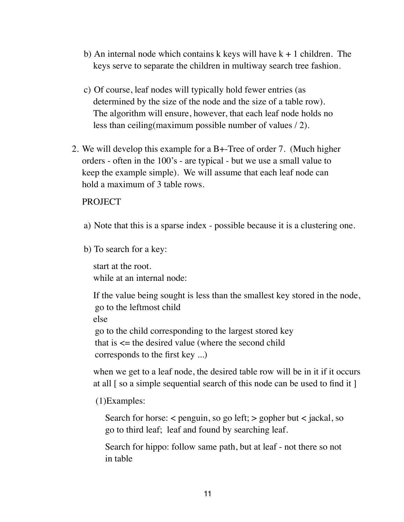- b) An internal node which contains k keys will have  $k + 1$  children. The keys serve to separate the children in multiway search tree fashion.
- c) Of course, leaf nodes will typically hold fewer entries (as determined by the size of the node and the size of a table row). The algorithm will ensure, however, that each leaf node holds no less than ceiling(maximum possible number of values / 2).
- 2. We will develop this example for a B+-Tree of order 7. (Much higher orders - often in the 100's - are typical - but we use a small value to keep the example simple). We will assume that each leaf node can hold a maximum of 3 table rows.

### **PROJECT**

- a) Note that this is a sparse index possible because it is a clustering one.
- b) To search for a key:

start at the root. while at an internal node:

If the value being sought is less than the smallest key stored in the node, go to the leftmost child else go to the child corresponding to the largest stored key that is  $\le$  the desired value (where the second child corresponds to the first key ...)

when we get to a leaf node, the desired table row will be in it if it occurs at all [ so a simple sequential search of this node can be used to find it ]

#### (1)Examples:

Search for horse:  $\lt$  penguin, so go left;  $>$  gopher but  $\lt$  jackal, so go to third leaf; leaf and found by searching leaf.

Search for hippo: follow same path, but at leaf - not there so not in table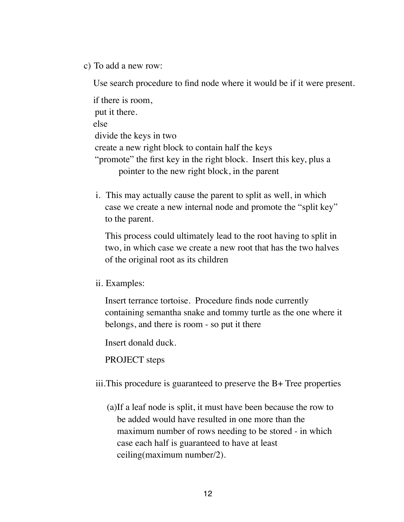c) To add a new row:

Use search procedure to find node where it would be if it were present.

if there is room, put it there. else divide the keys in two create a new right block to contain half the keys "promote" the first key in the right block. Insert this key, plus a pointer to the new right block, in the parent

i. This may actually cause the parent to split as well, in which case we create a new internal node and promote the "split key" to the parent.

This process could ultimately lead to the root having to split in two, in which case we create a new root that has the two halves of the original root as its children

ii. Examples:

Insert terrance tortoise. Procedure finds node currently containing semantha snake and tommy turtle as the one where it belongs, and there is room - so put it there

Insert donald duck.

PROJECT steps

iii.This procedure is guaranteed to preserve the B+ Tree properties

(a)If a leaf node is split, it must have been because the row to be added would have resulted in one more than the maximum number of rows needing to be stored - in which case each half is guaranteed to have at least ceiling(maximum number/2).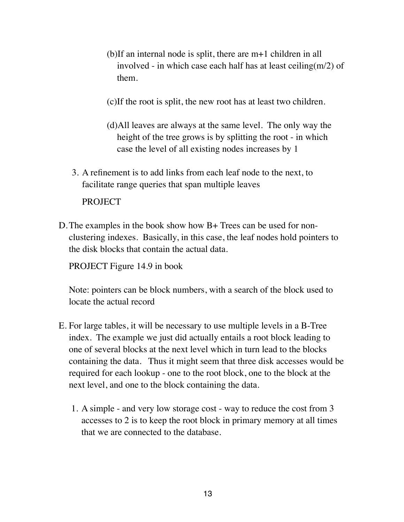- (b)If an internal node is split, there are m+1 children in all involved - in which case each half has at least ceiling $(m/2)$  of them.
- (c)If the root is split, the new root has at least two children.
- (d)All leaves are always at the same level. The only way the height of the tree grows is by splitting the root - in which case the level of all existing nodes increases by 1
- 3. A refinement is to add links from each leaf node to the next, to facilitate range queries that span multiple leaves

### **PROJECT**

D.The examples in the book show how B+ Trees can be used for nonclustering indexes. Basically, in this case, the leaf nodes hold pointers to the disk blocks that contain the actual data.

PROJECT Figure 14.9 in book

Note: pointers can be block numbers, with a search of the block used to locate the actual record

- E. For large tables, it will be necessary to use multiple levels in a B-Tree index. The example we just did actually entails a root block leading to one of several blocks at the next level which in turn lead to the blocks containing the data. Thus it might seem that three disk accesses would be required for each lookup - one to the root block, one to the block at the next level, and one to the block containing the data.
	- 1. A simple and very low storage cost way to reduce the cost from 3 accesses to 2 is to keep the root block in primary memory at all times that we are connected to the database.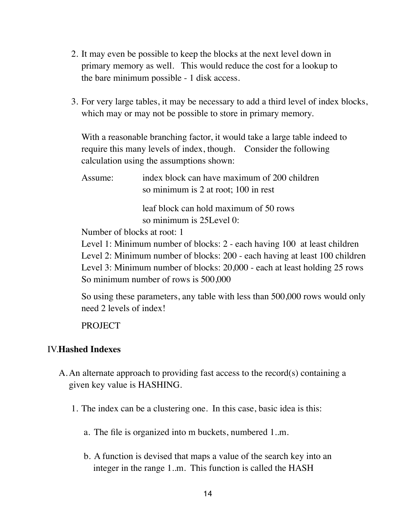- 2. It may even be possible to keep the blocks at the next level down in primary memory as well. This would reduce the cost for a lookup to the bare minimum possible - 1 disk access.
- 3. For very large tables, it may be necessary to add a third level of index blocks, which may or may not be possible to store in primary memory.

With a reasonable branching factor, it would take a large table indeed to require this many levels of index, though. Consider the following calculation using the assumptions shown:

Assume: index block can have maximum of 200 children so minimum is 2 at root; 100 in rest

> leaf block can hold maximum of 50 rows so minimum is 25Level 0:

Number of blocks at root: 1

Level 1: Minimum number of blocks: 2 - each having 100 at least children Level 2: Minimum number of blocks: 200 - each having at least 100 children Level 3: Minimum number of blocks: 20,000 - each at least holding 25 rows So minimum number of rows is 500,000

So using these parameters, any table with less than 500,000 rows would only need 2 levels of index!

PROJECT

# IV.**Hashed Indexes**

- A.An alternate approach to providing fast access to the record(s) containing a given key value is HASHING.
	- 1. The index can be a clustering one. In this case, basic idea is this:
		- a. The file is organized into m buckets, numbered 1..m.
		- b. A function is devised that maps a value of the search key into an integer in the range 1..m. This function is called the HASH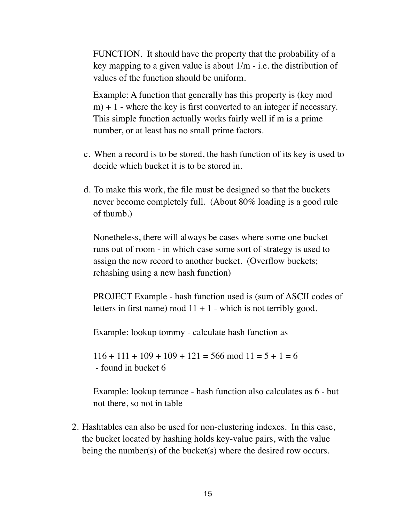FUNCTION. It should have the property that the probability of a key mapping to a given value is about 1/m - i.e. the distribution of values of the function should be uniform.

Example: A function that generally has this property is (key mod  $m$ ) + 1 - where the key is first converted to an integer if necessary. This simple function actually works fairly well if m is a prime number, or at least has no small prime factors.

- c. When a record is to be stored, the hash function of its key is used to decide which bucket it is to be stored in.
- d. To make this work, the file must be designed so that the buckets never become completely full. (About 80% loading is a good rule of thumb.)

Nonetheless, there will always be cases where some one bucket runs out of room - in which case some sort of strategy is used to assign the new record to another bucket. (Overflow buckets; rehashing using a new hash function)

PROJECT Example - hash function used is (sum of ASCII codes of letters in first name) mod  $11 + 1$  - which is not terribly good.

Example: lookup tommy - calculate hash function as

 $116 + 111 + 109 + 109 + 121 = 566 \text{ mod } 11 = 5 + 1 = 6$ - found in bucket 6

Example: lookup terrance - hash function also calculates as 6 - but not there, so not in table

2. Hashtables can also be used for non-clustering indexes. In this case, the bucket located by hashing holds key-value pairs, with the value being the number(s) of the bucket(s) where the desired row occurs.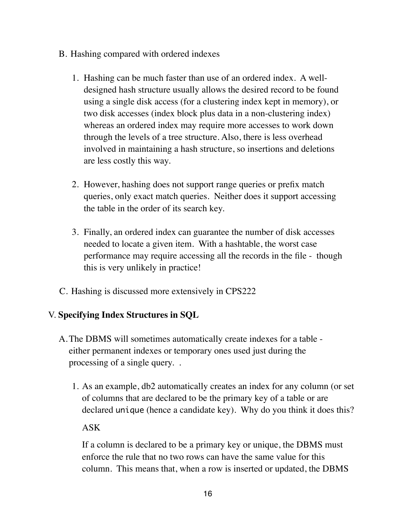- B. Hashing compared with ordered indexes
	- 1. Hashing can be much faster than use of an ordered index. A welldesigned hash structure usually allows the desired record to be found using a single disk access (for a clustering index kept in memory), or two disk accesses (index block plus data in a non-clustering index) whereas an ordered index may require more accesses to work down through the levels of a tree structure. Also, there is less overhead involved in maintaining a hash structure, so insertions and deletions are less costly this way.
	- 2. However, hashing does not support range queries or prefix match queries, only exact match queries. Neither does it support accessing the table in the order of its search key.
	- 3. Finally, an ordered index can guarantee the number of disk accesses needed to locate a given item. With a hashtable, the worst case performance may require accessing all the records in the file - though this is very unlikely in practice!
- C. Hashing is discussed more extensively in CPS222

# V. **Specifying Index Structures in SQL**

- A.The DBMS will sometimes automatically create indexes for a table either permanent indexes or temporary ones used just during the processing of a single query. .
	- 1. As an example, db2 automatically creates an index for any column (or set of columns that are declared to be the primary key of a table or are declared unique (hence a candidate key). Why do you think it does this?

## ASK

If a column is declared to be a primary key or unique, the DBMS must enforce the rule that no two rows can have the same value for this column. This means that, when a row is inserted or updated, the DBMS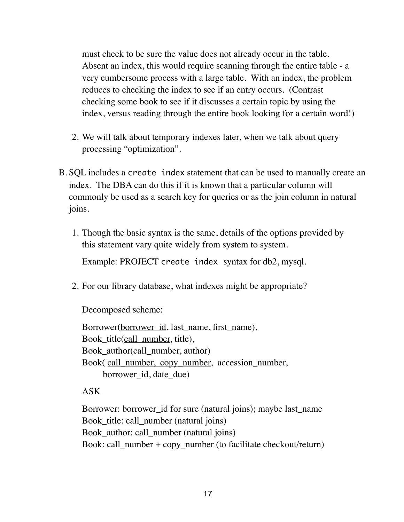must check to be sure the value does not already occur in the table. Absent an index, this would require scanning through the entire table - a very cumbersome process with a large table. With an index, the problem reduces to checking the index to see if an entry occurs. (Contrast checking some book to see if it discusses a certain topic by using the index, versus reading through the entire book looking for a certain word!)

- 2. We will talk about temporary indexes later, when we talk about query processing "optimization".
- B. SQL includes a create index statement that can be used to manually create an index. The DBA can do this if it is known that a particular column will commonly be used as a search key for queries or as the join column in natural joins.
	- 1. Though the basic syntax is the same, details of the options provided by this statement vary quite widely from system to system.

Example: PROJECT create index syntax for db2, mysql.

2. For our library database, what indexes might be appropriate?

Decomposed scheme:

Borrower(borrower\_id, last\_name, first\_name), Book\_title(call\_number, title), Book\_author(call\_number, author) Book( call\_number, copy\_number, accession\_number, borrower\_id, date\_due)

# ASK

Borrower: borrower\_id for sure (natural joins); maybe last\_name Book title: call number (natural joins) Book\_author: call\_number (natural joins) Book: call\_number + copy\_number (to facilitate checkout/return)